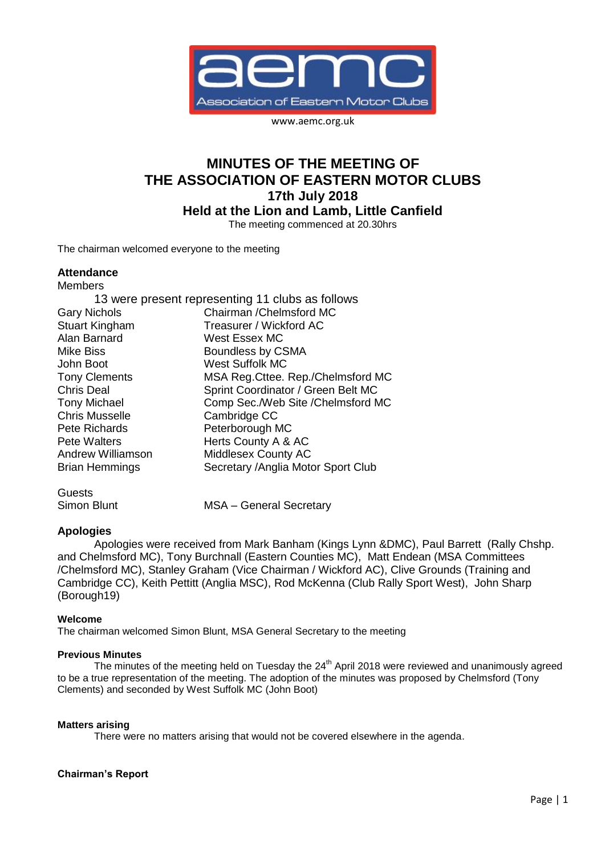

www.aemc.org.uk

# **MINUTES OF THE MEETING OF THE ASSOCIATION OF EASTERN MOTOR CLUBS 17th July 2018 Held at the Lion and Lamb, Little Canfield**

The meeting commenced at 20.30hrs

The chairman welcomed everyone to the meeting

# **Attendance**

| <b>Members</b>           |                                                  |
|--------------------------|--------------------------------------------------|
|                          | 13 were present representing 11 clubs as follows |
| <b>Gary Nichols</b>      | Chairman / Chelmsford MC                         |
| <b>Stuart Kingham</b>    | Treasurer / Wickford AC                          |
| Alan Barnard             | West Essex MC                                    |
| <b>Mike Biss</b>         | Boundless by CSMA                                |
| John Boot                | <b>West Suffolk MC</b>                           |
| <b>Tony Clements</b>     | MSA Reg. Cttee. Rep./Chelmsford MC               |
| <b>Chris Deal</b>        | Sprint Coordinator / Green Belt MC               |
| <b>Tony Michael</b>      | Comp Sec./Web Site /Chelmsford MC                |
| <b>Chris Musselle</b>    | Cambridge CC                                     |
| Pete Richards            | Peterborough MC                                  |
| Pete Walters             | Herts County A & AC                              |
| <b>Andrew Williamson</b> | <b>Middlesex County AC</b>                       |
| <b>Brian Hemmings</b>    | Secretary / Anglia Motor Sport Club              |
|                          |                                                  |

**Guests** 

Simon Blunt MSA – General Secretary

# **Apologies**

Apologies were received from Mark Banham (Kings Lynn &DMC), Paul Barrett (Rally Chshp. and Chelmsford MC), Tony Burchnall (Eastern Counties MC), Matt Endean (MSA Committees /Chelmsford MC), Stanley Graham (Vice Chairman / Wickford AC), Clive Grounds (Training and Cambridge CC), Keith Pettitt (Anglia MSC), Rod McKenna (Club Rally Sport West), John Sharp (Borough19)

# **Welcome**

The chairman welcomed Simon Blunt, MSA General Secretary to the meeting

# **Previous Minutes**

The minutes of the meeting held on Tuesday the  $24<sup>th</sup>$  April 2018 were reviewed and unanimously agreed to be a true representation of the meeting. The adoption of the minutes was proposed by Chelmsford (Tony Clements) and seconded by West Suffolk MC (John Boot)

#### **Matters arising**

There were no matters arising that would not be covered elsewhere in the agenda.

#### **Chairman's Report**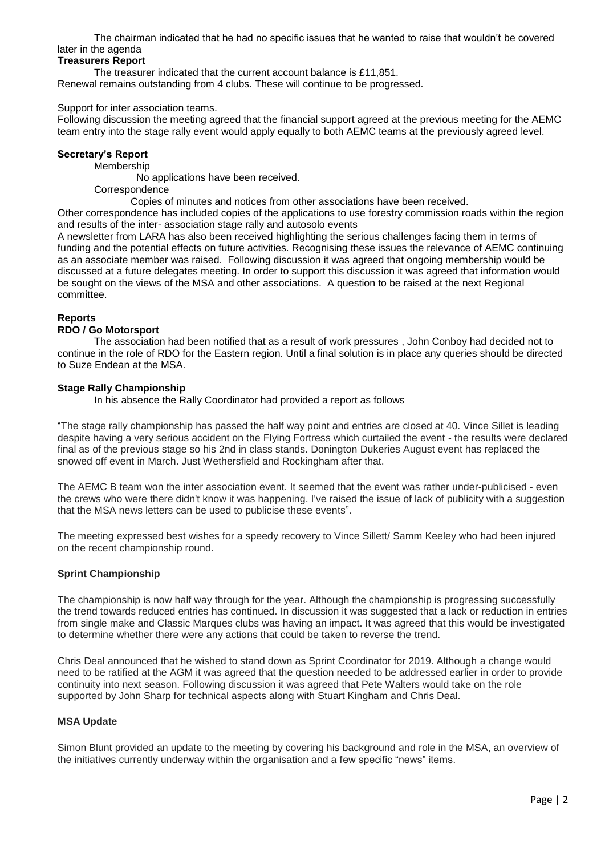The chairman indicated that he had no specific issues that he wanted to raise that wouldn't be covered later in the agenda

# **Treasurers Report**

The treasurer indicated that the current account balance is £11,851. Renewal remains outstanding from 4 clubs. These will continue to be progressed.

Support for inter association teams.

Following discussion the meeting agreed that the financial support agreed at the previous meeting for the AEMC team entry into the stage rally event would apply equally to both AEMC teams at the previously agreed level.

## **Secretary's Report**

**Membership** 

No applications have been received.

# **Correspondence**

Copies of minutes and notices from other associations have been received.

Other correspondence has included copies of the applications to use forestry commission roads within the region and results of the inter- association stage rally and autosolo events

A newsletter from LARA has also been received highlighting the serious challenges facing them in terms of funding and the potential effects on future activities. Recognising these issues the relevance of AEMC continuing as an associate member was raised. Following discussion it was agreed that ongoing membership would be discussed at a future delegates meeting. In order to support this discussion it was agreed that information would be sought on the views of the MSA and other associations. A question to be raised at the next Regional committee.

# **Reports**

# **RDO / Go Motorsport**

The association had been notified that as a result of work pressures , John Conboy had decided not to continue in the role of RDO for the Eastern region. Until a final solution is in place any queries should be directed to Suze Endean at the MSA.

## **Stage Rally Championship**

In his absence the Rally Coordinator had provided a report as follows

"The stage rally championship has passed the half way point and entries are closed at 40. Vince Sillet is leading despite having a very serious accident on the Flying Fortress which curtailed the event - the results were declared final as of the previous stage so his 2nd in class stands. Donington Dukeries August event has replaced the snowed off event in March. Just Wethersfield and Rockingham after that.

The AEMC B team won the inter association event. It seemed that the event was rather under-publicised - even the crews who were there didn't know it was happening. I've raised the issue of lack of publicity with a suggestion that the MSA news letters can be used to publicise these events".

The meeting expressed best wishes for a speedy recovery to Vince Sillett/ Samm Keeley who had been injured on the recent championship round.

# **Sprint Championship**

The championship is now half way through for the year. Although the championship is progressing successfully the trend towards reduced entries has continued. In discussion it was suggested that a lack or reduction in entries from single make and Classic Marques clubs was having an impact. It was agreed that this would be investigated to determine whether there were any actions that could be taken to reverse the trend.

Chris Deal announced that he wished to stand down as Sprint Coordinator for 2019. Although a change would need to be ratified at the AGM it was agreed that the question needed to be addressed earlier in order to provide continuity into next season. Following discussion it was agreed that Pete Walters would take on the role supported by John Sharp for technical aspects along with Stuart Kingham and Chris Deal.

#### **MSA Update**

Simon Blunt provided an update to the meeting by covering his background and role in the MSA, an overview of the initiatives currently underway within the organisation and a few specific "news" items.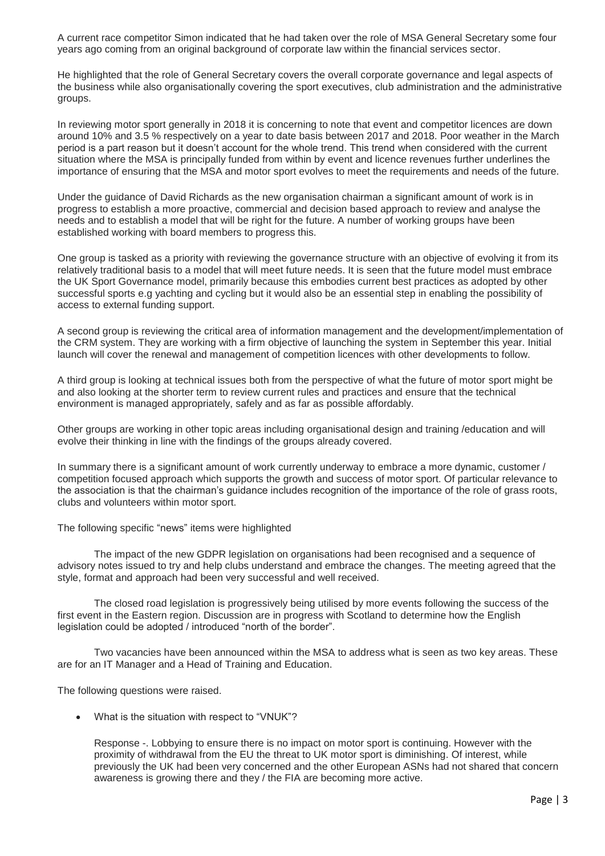A current race competitor Simon indicated that he had taken over the role of MSA General Secretary some four years ago coming from an original background of corporate law within the financial services sector.

He highlighted that the role of General Secretary covers the overall corporate governance and legal aspects of the business while also organisationally covering the sport executives, club administration and the administrative groups.

In reviewing motor sport generally in 2018 it is concerning to note that event and competitor licences are down around 10% and 3.5 % respectively on a year to date basis between 2017 and 2018. Poor weather in the March period is a part reason but it doesn't account for the whole trend. This trend when considered with the current situation where the MSA is principally funded from within by event and licence revenues further underlines the importance of ensuring that the MSA and motor sport evolves to meet the requirements and needs of the future.

Under the guidance of David Richards as the new organisation chairman a significant amount of work is in progress to establish a more proactive, commercial and decision based approach to review and analyse the needs and to establish a model that will be right for the future. A number of working groups have been established working with board members to progress this.

One group is tasked as a priority with reviewing the governance structure with an objective of evolving it from its relatively traditional basis to a model that will meet future needs. It is seen that the future model must embrace the UK Sport Governance model, primarily because this embodies current best practices as adopted by other successful sports e.g yachting and cycling but it would also be an essential step in enabling the possibility of access to external funding support.

A second group is reviewing the critical area of information management and the development/implementation of the CRM system. They are working with a firm objective of launching the system in September this year. Initial launch will cover the renewal and management of competition licences with other developments to follow.

A third group is looking at technical issues both from the perspective of what the future of motor sport might be and also looking at the shorter term to review current rules and practices and ensure that the technical environment is managed appropriately, safely and as far as possible affordably.

Other groups are working in other topic areas including organisational design and training /education and will evolve their thinking in line with the findings of the groups already covered.

In summary there is a significant amount of work currently underway to embrace a more dynamic, customer / competition focused approach which supports the growth and success of motor sport. Of particular relevance to the association is that the chairman's guidance includes recognition of the importance of the role of grass roots, clubs and volunteers within motor sport.

The following specific "news" items were highlighted

The impact of the new GDPR legislation on organisations had been recognised and a sequence of advisory notes issued to try and help clubs understand and embrace the changes. The meeting agreed that the style, format and approach had been very successful and well received.

The closed road legislation is progressively being utilised by more events following the success of the first event in the Eastern region. Discussion are in progress with Scotland to determine how the English legislation could be adopted / introduced "north of the border".

Two vacancies have been announced within the MSA to address what is seen as two key areas. These are for an IT Manager and a Head of Training and Education.

The following questions were raised.

What is the situation with respect to "VNUK"?

Response -. Lobbying to ensure there is no impact on motor sport is continuing. However with the proximity of withdrawal from the EU the threat to UK motor sport is diminishing. Of interest, while previously the UK had been very concerned and the other European ASNs had not shared that concern awareness is growing there and they / the FIA are becoming more active.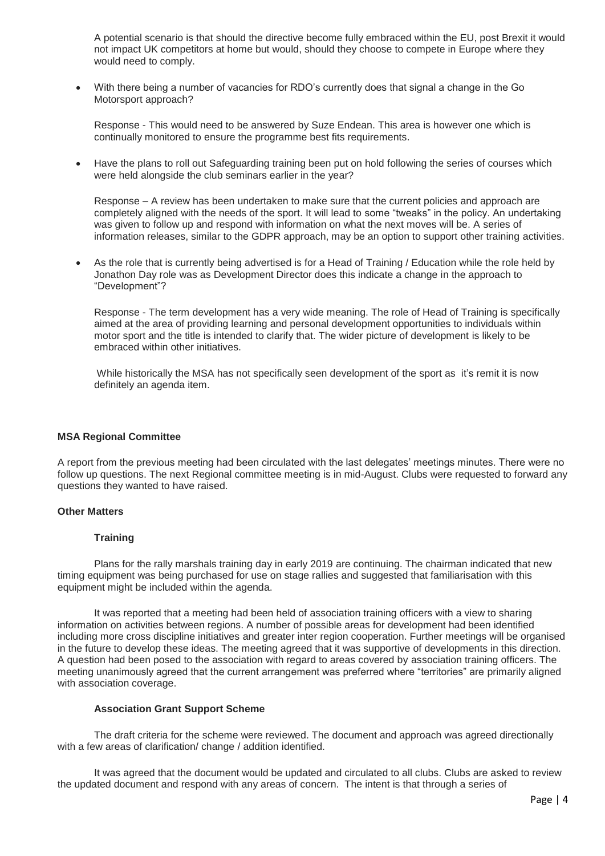A potential scenario is that should the directive become fully embraced within the EU, post Brexit it would not impact UK competitors at home but would, should they choose to compete in Europe where they would need to comply.

 With there being a number of vacancies for RDO's currently does that signal a change in the Go Motorsport approach?

Response - This would need to be answered by Suze Endean. This area is however one which is continually monitored to ensure the programme best fits requirements.

 Have the plans to roll out Safeguarding training been put on hold following the series of courses which were held alongside the club seminars earlier in the year?

Response – A review has been undertaken to make sure that the current policies and approach are completely aligned with the needs of the sport. It will lead to some "tweaks" in the policy. An undertaking was given to follow up and respond with information on what the next moves will be. A series of information releases, similar to the GDPR approach, may be an option to support other training activities.

 As the role that is currently being advertised is for a Head of Training / Education while the role held by Jonathon Day role was as Development Director does this indicate a change in the approach to "Development"?

Response - The term development has a very wide meaning. The role of Head of Training is specifically aimed at the area of providing learning and personal development opportunities to individuals within motor sport and the title is intended to clarify that. The wider picture of development is likely to be embraced within other initiatives.

While historically the MSA has not specifically seen development of the sport as it's remit it is now definitely an agenda item.

#### **MSA Regional Committee**

A report from the previous meeting had been circulated with the last delegates' meetings minutes. There were no follow up questions. The next Regional committee meeting is in mid-August. Clubs were requested to forward any questions they wanted to have raised.

#### **Other Matters**

#### **Training**

Plans for the rally marshals training day in early 2019 are continuing. The chairman indicated that new timing equipment was being purchased for use on stage rallies and suggested that familiarisation with this equipment might be included within the agenda.

It was reported that a meeting had been held of association training officers with a view to sharing information on activities between regions. A number of possible areas for development had been identified including more cross discipline initiatives and greater inter region cooperation. Further meetings will be organised in the future to develop these ideas. The meeting agreed that it was supportive of developments in this direction. A question had been posed to the association with regard to areas covered by association training officers. The meeting unanimously agreed that the current arrangement was preferred where "territories" are primarily aligned with association coverage.

#### **Association Grant Support Scheme**

The draft criteria for the scheme were reviewed. The document and approach was agreed directionally with a few areas of clarification/ change / addition identified.

It was agreed that the document would be updated and circulated to all clubs. Clubs are asked to review the updated document and respond with any areas of concern. The intent is that through a series of